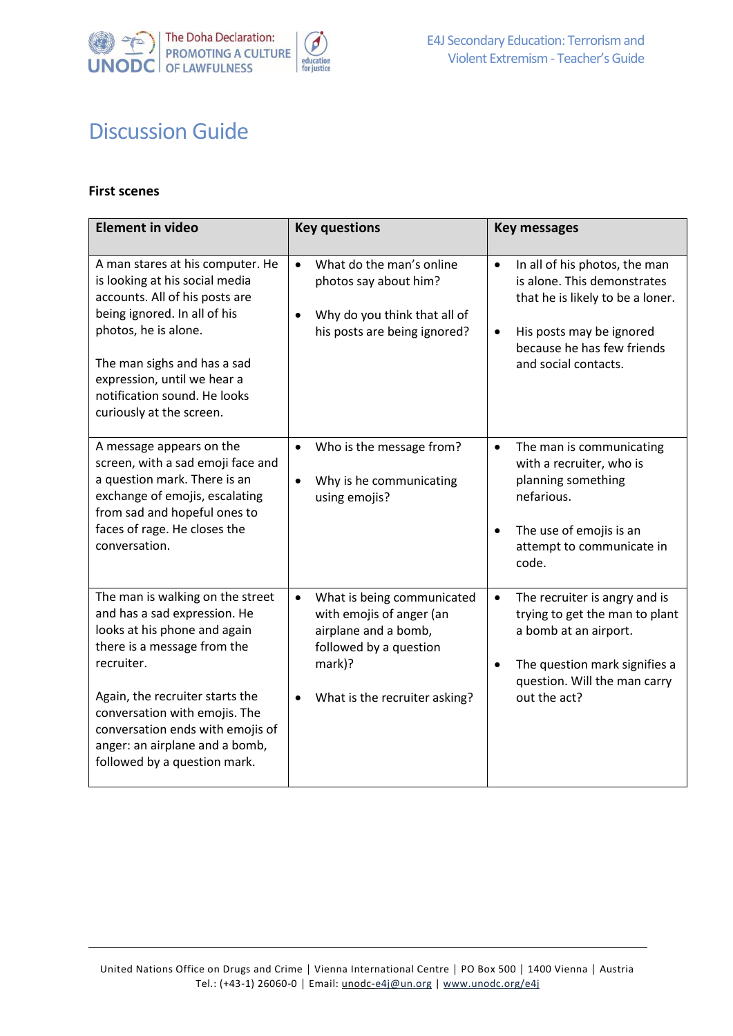

## Discussion Guide

## **First scenes**

| <b>Element in video</b>                                                                                                                                                                                                                                                                                                 | <b>Key questions</b>                                                                                                                                                          | <b>Key messages</b>                                                                                                                                                                                          |
|-------------------------------------------------------------------------------------------------------------------------------------------------------------------------------------------------------------------------------------------------------------------------------------------------------------------------|-------------------------------------------------------------------------------------------------------------------------------------------------------------------------------|--------------------------------------------------------------------------------------------------------------------------------------------------------------------------------------------------------------|
| A man stares at his computer. He<br>is looking at his social media<br>accounts. All of his posts are<br>being ignored. In all of his<br>photos, he is alone.<br>The man sighs and has a sad<br>expression, until we hear a<br>notification sound. He looks<br>curiously at the screen.                                  | What do the man's online<br>$\bullet$<br>photos say about him?<br>Why do you think that all of<br>٠<br>his posts are being ignored?                                           | In all of his photos, the man<br>$\bullet$<br>is alone. This demonstrates<br>that he is likely to be a loner.<br>His posts may be ignored<br>$\bullet$<br>because he has few friends<br>and social contacts. |
| A message appears on the<br>screen, with a sad emoji face and<br>a question mark. There is an<br>exchange of emojis, escalating<br>from sad and hopeful ones to<br>faces of rage. He closes the<br>conversation.                                                                                                        | Who is the message from?<br>$\bullet$<br>Why is he communicating<br>$\bullet$<br>using emojis?                                                                                | The man is communicating<br>$\bullet$<br>with a recruiter, who is<br>planning something<br>nefarious.<br>The use of emojis is an<br>$\bullet$<br>attempt to communicate in<br>code.                          |
| The man is walking on the street<br>and has a sad expression. He<br>looks at his phone and again<br>there is a message from the<br>recruiter.<br>Again, the recruiter starts the<br>conversation with emojis. The<br>conversation ends with emojis of<br>anger: an airplane and a bomb,<br>followed by a question mark. | What is being communicated<br>$\bullet$<br>with emojis of anger (an<br>airplane and a bomb,<br>followed by a question<br>mark)?<br>What is the recruiter asking?<br>$\bullet$ | The recruiter is angry and is<br>$\bullet$<br>trying to get the man to plant<br>a bomb at an airport.<br>The question mark signifies a<br>٠<br>question. Will the man carry<br>out the act?                  |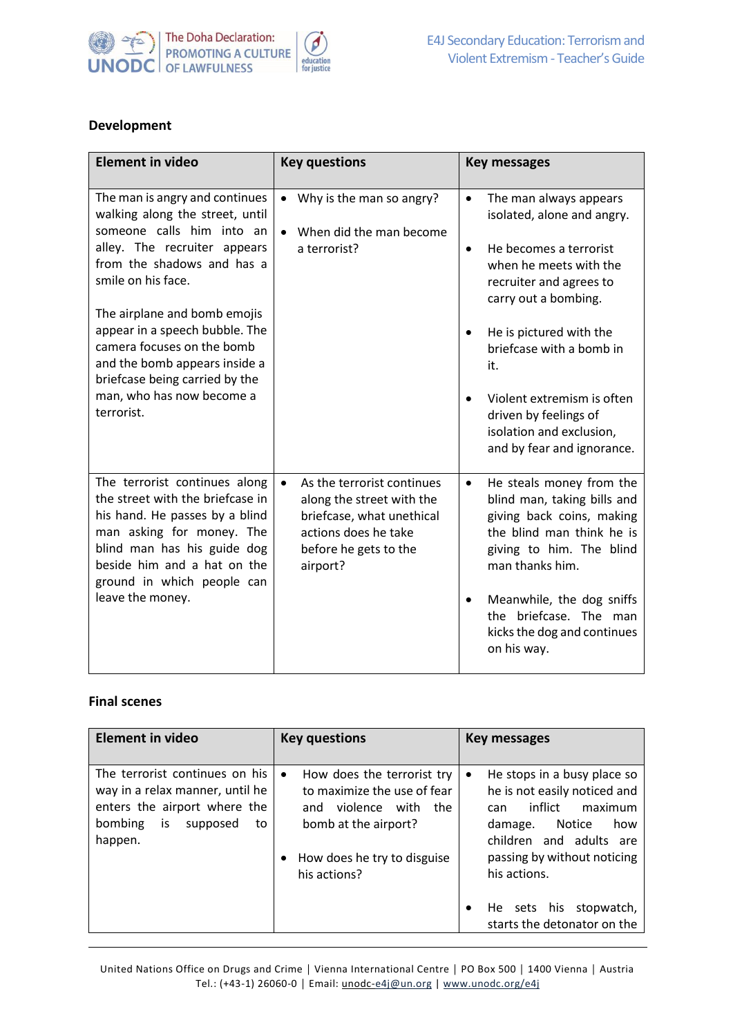

## **Development**

| <b>Element in video</b>                                                                                                                                                                                                                                                                                                                                                                          | <b>Key questions</b>                                                                                                                                           | <b>Key messages</b>                                                                                                                                                                                                                                                                                                                                                  |
|--------------------------------------------------------------------------------------------------------------------------------------------------------------------------------------------------------------------------------------------------------------------------------------------------------------------------------------------------------------------------------------------------|----------------------------------------------------------------------------------------------------------------------------------------------------------------|----------------------------------------------------------------------------------------------------------------------------------------------------------------------------------------------------------------------------------------------------------------------------------------------------------------------------------------------------------------------|
| The man is angry and continues<br>walking along the street, until<br>someone calls him into an<br>alley. The recruiter appears<br>from the shadows and has a<br>smile on his face.<br>The airplane and bomb emojis<br>appear in a speech bubble. The<br>camera focuses on the bomb<br>and the bomb appears inside a<br>briefcase being carried by the<br>man, who has now become a<br>terrorist. | Why is the man so angry?<br>٠<br>When did the man become<br>$\bullet$<br>a terrorist?                                                                          | The man always appears<br>$\bullet$<br>isolated, alone and angry.<br>He becomes a terrorist<br>$\bullet$<br>when he meets with the<br>recruiter and agrees to<br>carry out a bombing.<br>He is pictured with the<br>briefcase with a bomb in<br>it.<br>Violent extremism is often<br>driven by feelings of<br>isolation and exclusion,<br>and by fear and ignorance. |
| The terrorist continues along<br>the street with the briefcase in<br>his hand. He passes by a blind<br>man asking for money. The<br>blind man has his guide dog<br>beside him and a hat on the<br>ground in which people can<br>leave the money.                                                                                                                                                 | As the terrorist continues<br>$\bullet$<br>along the street with the<br>briefcase, what unethical<br>actions does he take<br>before he gets to the<br>airport? | He steals money from the<br>$\bullet$<br>blind man, taking bills and<br>giving back coins, making<br>the blind man think he is<br>giving to him. The blind<br>man thanks him.<br>Meanwhile, the dog sniffs<br>the briefcase. The man<br>kicks the dog and continues<br>on his way.                                                                                   |

## **Final scenes**

| <b>Element in video</b>                                                                                                                         | <b>Key questions</b>                                                                                                                                                      | <b>Key messages</b>                                                                                                                                                                                                                                                     |
|-------------------------------------------------------------------------------------------------------------------------------------------------|---------------------------------------------------------------------------------------------------------------------------------------------------------------------------|-------------------------------------------------------------------------------------------------------------------------------------------------------------------------------------------------------------------------------------------------------------------------|
| The terrorist continues on his<br>way in a relax manner, until he<br>enters the airport where the<br>bombing<br>is<br>supposed<br>to<br>happen. | How does the terrorist try<br>$\bullet$<br>to maximize the use of fear<br>violence with the<br>and<br>bomb at the airport?<br>How does he try to disguise<br>his actions? | He stops in a busy place so<br>٠<br>he is not easily noticed and<br>infiict<br>maximum<br>can.<br><b>Notice</b><br>damage.<br>how<br>children and adults are<br>passing by without noticing<br>his actions.<br>He sets his<br>stopwatch,<br>starts the detonator on the |

United Nations Office on Drugs and Crime │ Vienna International Centre │ PO Box 500 │ 1400 Vienna │ Austria Tel.: (+43-1) 26060-0 **│** Email: unodc[-e4j@un.org](mailto:e4j@un.org) | [www.unodc.org/e4j](http://www.unodc.org/e4j)